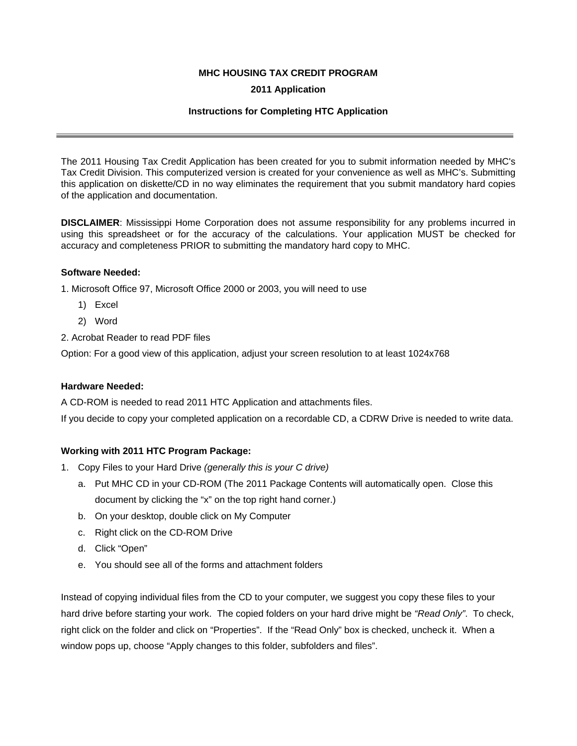# **MHC HOUSING TAX CREDIT PROGRAM**

# **2011 Application**

## **Instructions for Completing HTC Application**

The 2011 Housing Tax Credit Application has been created for you to submit information needed by MHC's Tax Credit Division. This computerized version is created for your convenience as well as MHC's. Submitting this application on diskette/CD in no way eliminates the requirement that you submit mandatory hard copies of the application and documentation.

**DISCLAIMER**: Mississippi Home Corporation does not assume responsibility for any problems incurred in using this spreadsheet or for the accuracy of the calculations. Your application MUST be checked for accuracy and completeness PRIOR to submitting the mandatory hard copy to MHC.

### **Software Needed:**

1. Microsoft Office 97, Microsoft Office 2000 or 2003, you will need to use

- 1) Excel
- 2) Word
- 2. Acrobat Reader to read PDF files

Option: For a good view of this application, adjust your screen resolution to at least 1024x768

#### **Hardware Needed:**

A CD-ROM is needed to read 2011 HTC Application and attachments files.

If you decide to copy your completed application on a recordable CD, a CDRW Drive is needed to write data.

# **Working with 2011 HTC Program Package:**

- 1. Copy Files to your Hard Drive *(generally this is your C drive)*
	- a. Put MHC CD in your CD-ROM (The 2011 Package Contents will automatically open. Close this document by clicking the "x" on the top right hand corner.)
	- b. On your desktop, double click on My Computer
	- c. Right click on the CD-ROM Drive
	- d. Click "Open"
	- e. You should see all of the forms and attachment folders

Instead of copying individual files from the CD to your computer, we suggest you copy these files to your hard drive before starting your work. The copied folders on your hard drive might be *"Read Only"*. To check, right click on the folder and click on "Properties". If the "Read Only" box is checked, uncheck it. When a window pops up, choose "Apply changes to this folder, subfolders and files".